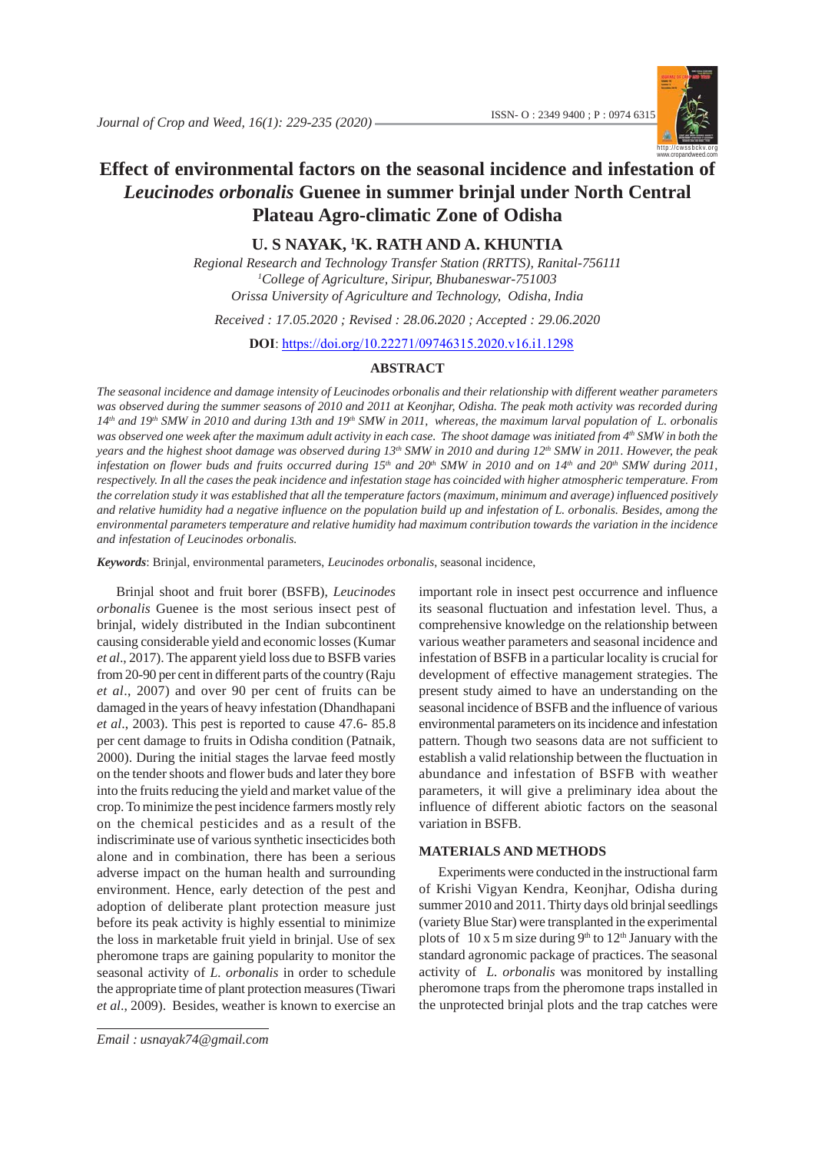

# **Effect of environmental factors on the seasonal incidence and infestation of** *Leucinodes orbonalis* **Guenee in summer brinjal under North Central Plateau Agro-climatic Zone of Odisha**

# **U. S NAYAK, 1 K. RATH AND A. KHUNTIA**

*Regional Research and Technology Transfer Station (RRTTS), Ranital-756111 1 College of Agriculture, Siripur, Bhubaneswar-751003 Orissa University of Agriculture and Technology, Odisha, India*

*Received : 17.05.2020 ; Revised : 28.06.2020 ; Accepted : 29.06.2020*

**DOI**: https://doi.org/10.22271/09746315.2020.v16.i1.1298

# **ABSTRACT**

*The seasonal incidence and damage intensity of Leucinodes orbonalis and their relationship with different weather parameters was observed during the summer seasons of 2010 and 2011 at Keonjhar, Odisha. The peak moth activity was recorded during 14th and 19th SMW in 2010 and during 13th and 19th SMW in 2011, whereas, the maximum larval population of L. orbonalis* was observed one week after the maximum adult activity in each case. The shoot damage was initiated from 4<sup>th</sup> SMW in both the *years and the highest shoot damage was observed during 13<sup>th</sup> SMW in 2010 and during 12<sup>th</sup> SMW in 2011. However, the peak* infestation on flower buds and fruits occurred during 15<sup>th</sup> and 20<sup>th</sup> SMW in 2010 and on 14<sup>th</sup> and 20<sup>th</sup> SMW during 2011, *respectively. In all the cases the peak incidence and infestation stage has coincided with higher atmospheric temperature. From the correlation study it was established that all the temperature factors (maximum, minimum and average) influenced positively and relative humidity had a negative influence on the population build up and infestation of L. orbonalis. Besides, among the environmental parameters temperature and relative humidity had maximum contribution towards the variation in the incidence and infestation of Leucinodes orbonalis.*

*Keywords*: Brinjal, environmental parameters, *Leucinodes orbonalis*, seasonal incidence,

Brinjal shoot and fruit borer (BSFB), *Leucinodes orbonalis* Guenee is the most serious insect pest of brinjal, widely distributed in the Indian subcontinent causing considerable yield and economic losses (Kumar *et al*., 2017). The apparent yield loss due to BSFB varies from 20-90 per cent in different parts of the country (Raju *et al*., 2007) and over 90 per cent of fruits can be damaged in the years of heavy infestation (Dhandhapani *et al*., 2003). This pest is reported to cause 47.6- 85.8 per cent damage to fruits in Odisha condition (Patnaik, 2000). During the initial stages the larvae feed mostly on the tender shoots and flower buds and later they bore into the fruits reducing the yield and market value of the crop. To minimize the pest incidence farmers mostly rely on the chemical pesticides and as a result of the indiscriminate use of various synthetic insecticides both alone and in combination, there has been a serious adverse impact on the human health and surrounding environment. Hence, early detection of the pest and adoption of deliberate plant protection measure just before its peak activity is highly essential to minimize the loss in marketable fruit yield in brinjal. Use of sex pheromone traps are gaining popularity to monitor the seasonal activity of *L. orbonalis* in order to schedule the appropriate time of plant protection measures (Tiwari *et al*., 2009). Besides, weather is known to exercise an

*J. Crop and Weed, 16(1)* 229 *Email : usnayak74@gmail.com*

important role in insect pest occurrence and influence its seasonal fluctuation and infestation level. Thus, a comprehensive knowledge on the relationship between various weather parameters and seasonal incidence and infestation of BSFB in a particular locality is crucial for development of effective management strategies. The present study aimed to have an understanding on the seasonal incidence of BSFB and the influence of various environmental parameters on its incidence and infestation pattern. Though two seasons data are not sufficient to establish a valid relationship between the fluctuation in abundance and infestation of BSFB with weather parameters, it will give a preliminary idea about the influence of different abiotic factors on the seasonal variation in BSFB.

### **MATERIALS AND METHODS**

Experiments were conducted in the instructional farm of Krishi Vigyan Kendra, Keonjhar, Odisha during summer 2010 and 2011. Thirty days old brinjal seedlings (variety Blue Star) were transplanted in the experimental plots of  $10 \times 5$  m size during 9<sup>th</sup> to  $12<sup>th</sup>$  January with the standard agronomic package of practices. The seasonal activity of *L. orbonalis* was monitored by installing pheromone traps from the pheromone traps installed in the unprotected brinjal plots and the trap catches were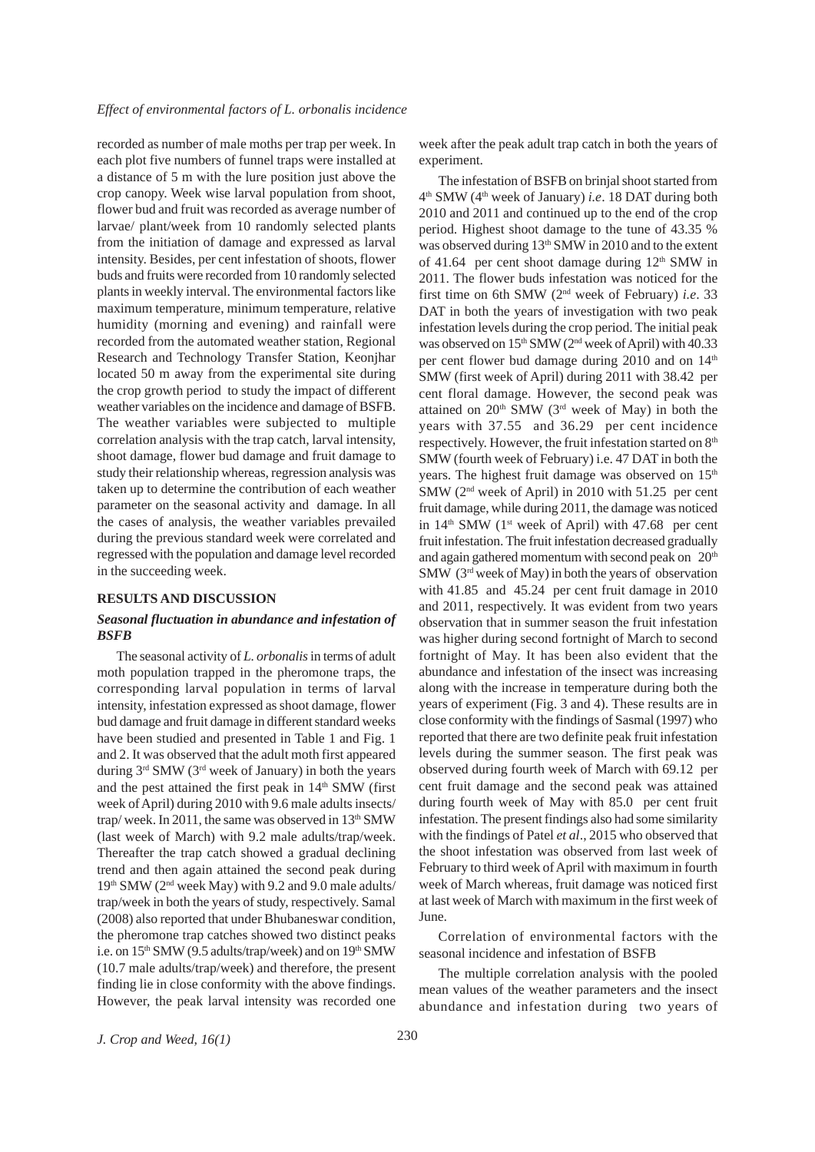recorded as number of male moths per trap per week. In each plot five numbers of funnel traps were installed at a distance of 5 m with the lure position just above the crop canopy. Week wise larval population from shoot, flower bud and fruit was recorded as average number of larvae/ plant/week from 10 randomly selected plants from the initiation of damage and expressed as larval intensity. Besides, per cent infestation of shoots, flower buds and fruits were recorded from 10 randomly selected plants in weekly interval. The environmental factors like maximum temperature, minimum temperature, relative humidity (morning and evening) and rainfall were recorded from the automated weather station, Regional Research and Technology Transfer Station, Keonjhar located 50 m away from the experimental site during the crop growth period to study the impact of different weather variables on the incidence and damage of BSFB. The weather variables were subjected to multiple correlation analysis with the trap catch, larval intensity, shoot damage, flower bud damage and fruit damage to study their relationship whereas, regression analysis was taken up to determine the contribution of each weather parameter on the seasonal activity and damage. In all the cases of analysis, the weather variables prevailed during the previous standard week were correlated and regressed with the population and damage level recorded in the succeeding week.

#### **RESULTS AND DISCUSSION**

# *Seasonal fluctuation in abundance and infestation of BSFB*

The seasonal activity of *L. orbonalis* in terms of adult moth population trapped in the pheromone traps, the corresponding larval population in terms of larval intensity, infestation expressed as shoot damage, flower bud damage and fruit damage in different standard weeks have been studied and presented in Table 1 and Fig. 1 and 2. It was observed that the adult moth first appeared during  $3<sup>rd</sup>$  SMW ( $3<sup>rd</sup>$  week of January) in both the years and the pest attained the first peak in  $14<sup>th</sup>$  SMW (first week of April) during 2010 with 9.6 male adults insects/ trap/week. In 2011, the same was observed in 13<sup>th</sup> SMW (last week of March) with 9.2 male adults/trap/week. Thereafter the trap catch showed a gradual declining trend and then again attained the second peak during  $19<sup>th</sup>$  SMW ( $2<sup>nd</sup>$  week May) with 9.2 and 9.0 male adults/ trap/week in both the years of study, respectively. Samal (2008) also reported that under Bhubaneswar condition, the pheromone trap catches showed two distinct peaks i.e. on 15<sup>th</sup> SMW (9.5 adults/trap/week) and on 19<sup>th</sup> SMW (10.7 male adults/trap/week) and therefore, the present finding lie in close conformity with the above findings. However, the peak larval intensity was recorded one week after the peak adult trap catch in both the years of experiment.

The infestation of BSFB on brinjal shoot started from 4th SMW (4th week of January) *i.e*. 18 DAT during both 2010 and 2011 and continued up to the end of the crop period. Highest shoot damage to the tune of 43.35 % was observed during 13<sup>th</sup> SMW in 2010 and to the extent of 41.64 per cent shoot damage during  $12<sup>th</sup>$  SMW in 2011. The flower buds infestation was noticed for the first time on 6th SMW (2nd week of February) *i.e*. 33 DAT in both the years of investigation with two peak infestation levels during the crop period. The initial peak was observed on 15<sup>th</sup> SMW (2<sup>nd</sup> week of April) with 40.33 per cent flower bud damage during 2010 and on 14<sup>th</sup> SMW (first week of April) during 2011 with 38.42 per cent floral damage. However, the second peak was attained on  $20<sup>th</sup>$  SMW (3<sup>rd</sup> week of May) in both the years with 37.55 and 36.29 per cent incidence respectively. However, the fruit infestation started on 8<sup>th</sup> SMW (fourth week of February) i.e. 47 DAT in both the years. The highest fruit damage was observed on 15<sup>th</sup> SMW (2nd week of April) in 2010 with 51.25 per cent fruit damage, while during 2011, the damage was noticed in  $14<sup>th</sup>$  SMW (1<sup>st</sup> week of April) with 47.68 per cent fruit infestation. The fruit infestation decreased gradually and again gathered momentum with second peak on 20<sup>th</sup> SMW (3rd week of May) in both the years of observation with 41.85 and 45.24 per cent fruit damage in 2010 and 2011, respectively. It was evident from two years observation that in summer season the fruit infestation was higher during second fortnight of March to second fortnight of May. It has been also evident that the abundance and infestation of the insect was increasing along with the increase in temperature during both the years of experiment (Fig. 3 and 4). These results are in close conformity with the findings of Sasmal (1997) who reported that there are two definite peak fruit infestation levels during the summer season. The first peak was observed during fourth week of March with 69.12 per cent fruit damage and the second peak was attained during fourth week of May with 85.0 per cent fruit infestation. The present findings also had some similarity with the findings of Patel *et al*., 2015 who observed that the shoot infestation was observed from last week of February to third week of April with maximum in fourth week of March whereas, fruit damage was noticed first at last week of March with maximum in the first week of June.

Correlation of environmental factors with the seasonal incidence and infestation of BSFB

The multiple correlation analysis with the pooled mean values of the weather parameters and the insect abundance and infestation during two years of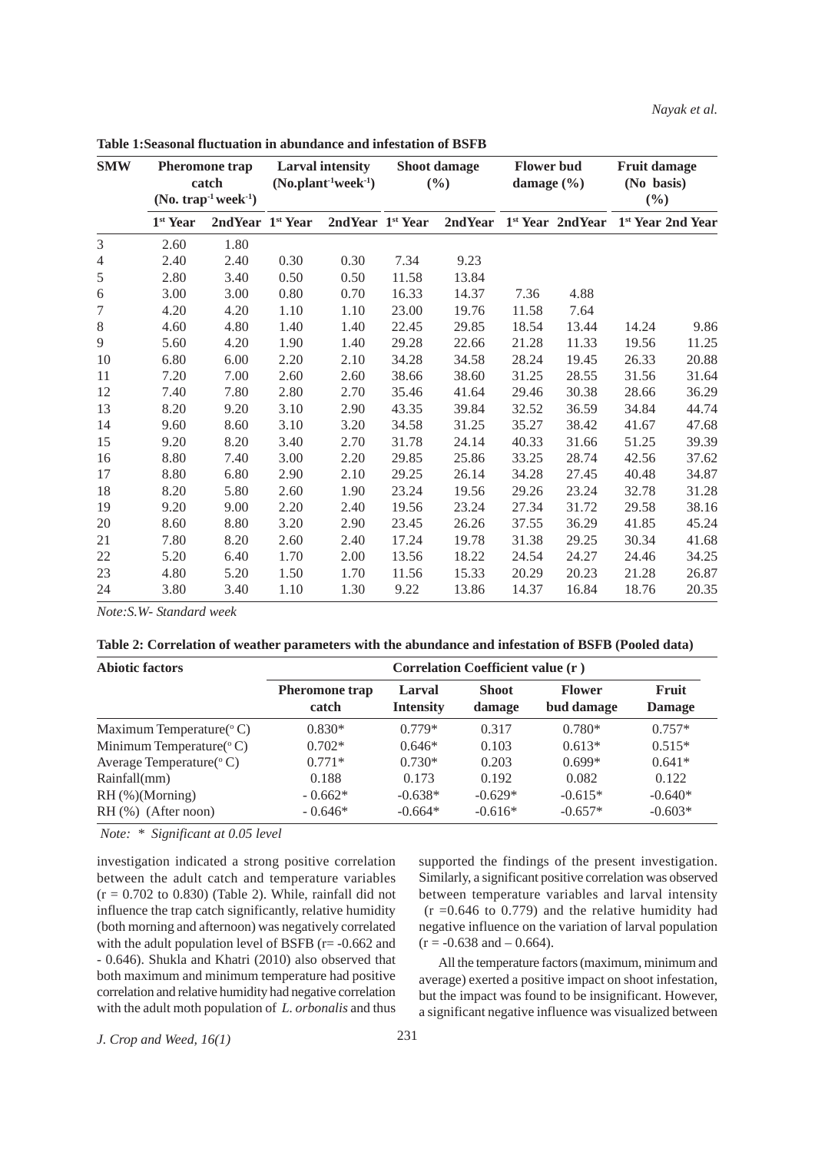| <b>SMW</b>     |                      | <b>Pheromone</b> trap<br>catch<br>$(No. trap-1 week-1)$ |      | <b>Larval intensity</b><br>$(No.plant-1 week-1)$ |       | Shoot damage<br>(9/0) | <b>Flower bud</b><br>damage $(\% )$ |                     | <b>Fruit damage</b><br>(No basis)<br>$(\%)$ |                               |
|----------------|----------------------|---------------------------------------------------------|------|--------------------------------------------------|-------|-----------------------|-------------------------------------|---------------------|---------------------------------------------|-------------------------------|
|                | 1 <sup>st</sup> Year | 2nd Year 1st Year                                       |      | 2nd Year 1st Year                                |       | 2nd Year              |                                     | $1st$ Year 2nd Year |                                             | 1 <sup>st</sup> Year 2nd Year |
| 3              | 2.60                 | 1.80                                                    |      |                                                  |       |                       |                                     |                     |                                             |                               |
| $\overline{4}$ | 2.40                 | 2.40                                                    | 0.30 | 0.30                                             | 7.34  | 9.23                  |                                     |                     |                                             |                               |
| 5              | 2.80                 | 3.40                                                    | 0.50 | 0.50                                             | 11.58 | 13.84                 |                                     |                     |                                             |                               |
| 6              | 3.00                 | 3.00                                                    | 0.80 | 0.70                                             | 16.33 | 14.37                 | 7.36                                | 4.88                |                                             |                               |
| 7              | 4.20                 | 4.20                                                    | 1.10 | 1.10                                             | 23.00 | 19.76                 | 11.58                               | 7.64                |                                             |                               |
| $8\,$          | 4.60                 | 4.80                                                    | 1.40 | 1.40                                             | 22.45 | 29.85                 | 18.54                               | 13.44               | 14.24                                       | 9.86                          |
| 9              | 5.60                 | 4.20                                                    | 1.90 | 1.40                                             | 29.28 | 22.66                 | 21.28                               | 11.33               | 19.56                                       | 11.25                         |
| 10             | 6.80                 | 6.00                                                    | 2.20 | 2.10                                             | 34.28 | 34.58                 | 28.24                               | 19.45               | 26.33                                       | 20.88                         |
| 11             | 7.20                 | 7.00                                                    | 2.60 | 2.60                                             | 38.66 | 38.60                 | 31.25                               | 28.55               | 31.56                                       | 31.64                         |
| 12             | 7.40                 | 7.80                                                    | 2.80 | 2.70                                             | 35.46 | 41.64                 | 29.46                               | 30.38               | 28.66                                       | 36.29                         |
| 13             | 8.20                 | 9.20                                                    | 3.10 | 2.90                                             | 43.35 | 39.84                 | 32.52                               | 36.59               | 34.84                                       | 44.74                         |
| 14             | 9.60                 | 8.60                                                    | 3.10 | 3.20                                             | 34.58 | 31.25                 | 35.27                               | 38.42               | 41.67                                       | 47.68                         |
| 15             | 9.20                 | 8.20                                                    | 3.40 | 2.70                                             | 31.78 | 24.14                 | 40.33                               | 31.66               | 51.25                                       | 39.39                         |
| 16             | 8.80                 | 7.40                                                    | 3.00 | 2.20                                             | 29.85 | 25.86                 | 33.25                               | 28.74               | 42.56                                       | 37.62                         |
| 17             | 8.80                 | 6.80                                                    | 2.90 | 2.10                                             | 29.25 | 26.14                 | 34.28                               | 27.45               | 40.48                                       | 34.87                         |
| 18             | 8.20                 | 5.80                                                    | 2.60 | 1.90                                             | 23.24 | 19.56                 | 29.26                               | 23.24               | 32.78                                       | 31.28                         |
| 19             | 9.20                 | 9.00                                                    | 2.20 | 2.40                                             | 19.56 | 23.24                 | 27.34                               | 31.72               | 29.58                                       | 38.16                         |
| 20             | 8.60                 | 8.80                                                    | 3.20 | 2.90                                             | 23.45 | 26.26                 | 37.55                               | 36.29               | 41.85                                       | 45.24                         |
| 21             | 7.80                 | 8.20                                                    | 2.60 | 2.40                                             | 17.24 | 19.78                 | 31.38                               | 29.25               | 30.34                                       | 41.68                         |
| 22             | 5.20                 | 6.40                                                    | 1.70 | 2.00                                             | 13.56 | 18.22                 | 24.54                               | 24.27               | 24.46                                       | 34.25                         |
| 23             | 4.80                 | 5.20                                                    | 1.50 | 1.70                                             | 11.56 | 15.33                 | 20.29                               | 20.23               | 21.28                                       | 26.87                         |
| 24             | 3.80                 | 3.40                                                    | 1.10 | 1.30                                             | 9.22  | 13.86                 | 14.37                               | 16.84               | 18.76                                       | 20.35                         |

**Table 1:Seasonal fluctuation in abundance and infestation of BSFB**

*Note:S.W- Standard week*

|  | Table 2: Correlation of weather parameters with the abundance and infestation of BSFB (Pooled data) |  |  |  |  |
|--|-----------------------------------------------------------------------------------------------------|--|--|--|--|
|--|-----------------------------------------------------------------------------------------------------|--|--|--|--|

| <b>Abiotic factors</b>                 |                                |                            | Correlation Coefficient value (r) |                             |                               |
|----------------------------------------|--------------------------------|----------------------------|-----------------------------------|-----------------------------|-------------------------------|
|                                        | <b>Pheromone</b> trap<br>catch | Larval<br><b>Intensity</b> | <b>Shoot</b><br>damage            | <b>Flower</b><br>bud damage | <b>Fruit</b><br><b>Damage</b> |
| Maximum Temperature( $\rm ^{\circ}$ C) | $0.830*$                       | $0.779*$                   | 0.317                             | $0.780*$                    | $0.757*$                      |
| Minimum Temperature( $\rm ^{\circ}$ C) | $0.702*$                       | $0.646*$                   | 0.103                             | $0.613*$                    | $0.515*$                      |
| Average Temperature( $\rm ^{\circ}$ C) | $0.771*$                       | $0.730*$                   | 0.203                             | $0.699*$                    | $0.641*$                      |
| Rainfall(mm)                           | 0.188                          | 0.173                      | 0.192                             | 0.082                       | 0.122                         |
| RH (%)(Morning)                        | $-0.662*$                      | $-0.638*$                  | $-0.629*$                         | $-0.615*$                   | $-0.640*$                     |
| $RH$ (%) (After noon)                  | $-0.646*$                      | $-0.664*$                  | $-0.616*$                         | $-0.657*$                   | $-0.603*$                     |

 *Note: \* Significant at 0.05 level*

investigation indicated a strong positive correlation between the adult catch and temperature variables  $(r = 0.702$  to 0.830) (Table 2). While, rainfall did not influence the trap catch significantly, relative humidity (both morning and afternoon) was negatively correlated with the adult population level of BSFB ( $r = -0.662$  and - 0.646). Shukla and Khatri (2010) also observed that both maximum and minimum temperature had positive correlation and relative humidity had negative correlation with the adult moth population of *L. orbonalis* and thus supported the findings of the present investigation. Similarly, a significant positive correlation was observed between temperature variables and larval intensity  $(r = 0.646$  to 0.779) and the relative humidity had negative influence on the variation of larval population  $(r = -0.638$  and  $- 0.664$ ).

All the temperature factors (maximum, minimum and average) exerted a positive impact on shoot infestation, but the impact was found to be insignificant. However, a significant negative influence was visualized between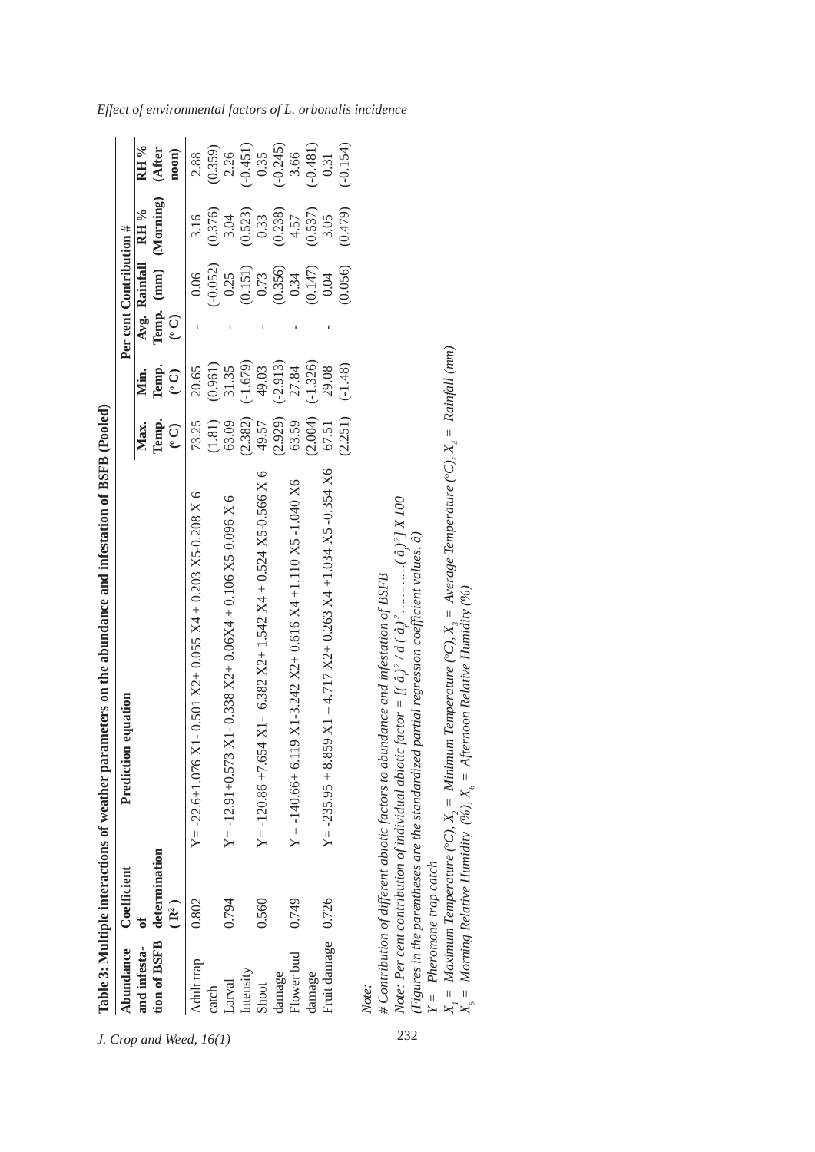| Temp. (mm) (Morning)<br>(0.479)<br>(0.238)<br>(0.537)<br>(0.523)<br>Avg. Rainfall RH %<br>(0.376)<br>0.33<br>4.57<br>3.04<br>3.05<br>3.16<br>$(-0.052)$<br>(0.356)<br>(0.056)<br>(0.151)<br>(0.147)<br>0.25<br>0.73<br>0.06<br>0.34<br>0.04<br>$\odot$<br>$(-1.679)$<br>$(2.929)$ $(-2.913)$<br>$(2.004)$ $(-1.326)$<br>(0.961)<br>Temp.<br>31.35<br>$(-1.48)$<br>49.03<br>27.84<br>29.08<br>20.65<br>$\odot$<br>Min.<br>(2.251)<br>(2.382)<br>63.59<br>49.57<br>Temp.<br>63.09<br>(1.81)<br>73.25<br>67.51<br>Max.<br>$\overline{C}$<br>$Y = -235.95 + 8.859$ X1 - 4.717 X2+ 0.263 X4 +1.034 X5 -0.354 X6<br>Y = -120.86 +7.654 X1 - 6.382 X2+ 1.542 X4 + 0.524 X5-0.566 X 6<br>$Y = -140.66 + 6.119$ X1-3.242 X2+ 0.616 X4 +1.110 X5 -1.040 X6<br>Y = -22.6+1.076 X1-0.501 X2+0.055 X4 + 0.203 X5-0.208 X 6<br>$X1 - 0.338 X2 + 0.06X4 + 0.106 X5 - 0.096 X6$<br># Contribution of different abiotic factors to abundance and infestation of BSFB<br>$Y = -12.91 + 0.573$<br>tion of BSFB determination<br>0.726<br>0.560<br>0.749<br>0.794<br>0.802<br>(R <sup>2</sup> )<br>ზ<br>მ<br>Fruit damage<br>and infesta-<br>Flower bud<br>Adult trap<br>Intensity<br>damage<br>damage<br>Larval<br>Shoot<br>Note:<br>catch | <b>Abundance</b> | Coefficient | Prediction equation |  | Per cent Contribution # |  |            |
|-------------------------------------------------------------------------------------------------------------------------------------------------------------------------------------------------------------------------------------------------------------------------------------------------------------------------------------------------------------------------------------------------------------------------------------------------------------------------------------------------------------------------------------------------------------------------------------------------------------------------------------------------------------------------------------------------------------------------------------------------------------------------------------------------------------------------------------------------------------------------------------------------------------------------------------------------------------------------------------------------------------------------------------------------------------------------------------------------------------------------------------------------------------------------------------------------------------------------|------------------|-------------|---------------------|--|-------------------------|--|------------|
|                                                                                                                                                                                                                                                                                                                                                                                                                                                                                                                                                                                                                                                                                                                                                                                                                                                                                                                                                                                                                                                                                                                                                                                                                         |                  |             |                     |  |                         |  | RH %       |
|                                                                                                                                                                                                                                                                                                                                                                                                                                                                                                                                                                                                                                                                                                                                                                                                                                                                                                                                                                                                                                                                                                                                                                                                                         |                  |             |                     |  |                         |  | (After     |
|                                                                                                                                                                                                                                                                                                                                                                                                                                                                                                                                                                                                                                                                                                                                                                                                                                                                                                                                                                                                                                                                                                                                                                                                                         |                  |             |                     |  |                         |  | $n$ oon    |
|                                                                                                                                                                                                                                                                                                                                                                                                                                                                                                                                                                                                                                                                                                                                                                                                                                                                                                                                                                                                                                                                                                                                                                                                                         |                  |             |                     |  |                         |  | 2.88       |
|                                                                                                                                                                                                                                                                                                                                                                                                                                                                                                                                                                                                                                                                                                                                                                                                                                                                                                                                                                                                                                                                                                                                                                                                                         |                  |             |                     |  |                         |  | (0.359)    |
|                                                                                                                                                                                                                                                                                                                                                                                                                                                                                                                                                                                                                                                                                                                                                                                                                                                                                                                                                                                                                                                                                                                                                                                                                         |                  |             |                     |  |                         |  | 2.26       |
|                                                                                                                                                                                                                                                                                                                                                                                                                                                                                                                                                                                                                                                                                                                                                                                                                                                                                                                                                                                                                                                                                                                                                                                                                         |                  |             |                     |  |                         |  | $(-0.451)$ |
|                                                                                                                                                                                                                                                                                                                                                                                                                                                                                                                                                                                                                                                                                                                                                                                                                                                                                                                                                                                                                                                                                                                                                                                                                         |                  |             |                     |  |                         |  | 0.35       |
|                                                                                                                                                                                                                                                                                                                                                                                                                                                                                                                                                                                                                                                                                                                                                                                                                                                                                                                                                                                                                                                                                                                                                                                                                         |                  |             |                     |  |                         |  | $(-0.245)$ |
|                                                                                                                                                                                                                                                                                                                                                                                                                                                                                                                                                                                                                                                                                                                                                                                                                                                                                                                                                                                                                                                                                                                                                                                                                         |                  |             |                     |  |                         |  | 3.66       |
|                                                                                                                                                                                                                                                                                                                                                                                                                                                                                                                                                                                                                                                                                                                                                                                                                                                                                                                                                                                                                                                                                                                                                                                                                         |                  |             |                     |  |                         |  | $(-0.481)$ |
|                                                                                                                                                                                                                                                                                                                                                                                                                                                                                                                                                                                                                                                                                                                                                                                                                                                                                                                                                                                                                                                                                                                                                                                                                         |                  |             |                     |  |                         |  | 0.31       |
|                                                                                                                                                                                                                                                                                                                                                                                                                                                                                                                                                                                                                                                                                                                                                                                                                                                                                                                                                                                                                                                                                                                                                                                                                         |                  |             |                     |  |                         |  | $(-0.154)$ |
|                                                                                                                                                                                                                                                                                                                                                                                                                                                                                                                                                                                                                                                                                                                                                                                                                                                                                                                                                                                                                                                                                                                                                                                                                         |                  |             |                     |  |                         |  |            |
|                                                                                                                                                                                                                                                                                                                                                                                                                                                                                                                                                                                                                                                                                                                                                                                                                                                                                                                                                                                                                                                                                                                                                                                                                         |                  |             |                     |  |                         |  |            |
|                                                                                                                                                                                                                                                                                                                                                                                                                                                                                                                                                                                                                                                                                                                                                                                                                                                                                                                                                                                                                                                                                                                                                                                                                         |                  |             |                     |  |                         |  |            |

*Effect of environmental factors of L. orbonalis incidence*

*Note: Per cent contribution of individual abiotic factor = [( âi*  $)^2/d$  (  $\hat{a}$  ) *2 …………( â ) j 2] X 100 (Figures in the parentheses are the standardized partial regression coefficient values, â)*

*Y = Pheromone trap catch*

(Figures in the parentheses are the standardized partial regression coefficient values, â)<br>  $Y =$  Pheromone trap catch<br>  $X_1 =$  Maximum Temperature (°C),  $X_2 =$  Minimum Temperature (°C),  $X_3 =$  Average Temperature (°C),  $X_$  $X_j = Maximum Temperature (°C), X_j = Minimum Temperature (°C), X_j = Average Temperature (°C), X_k = 1/2, and X_k = 1/2, and X_k = 1/2, and X_k = 1/2, and X_k = 1/2, and X_k = 1/2, and X_k = 1/2, and X_k = 1/2, and X_k = 1/2, and X_k = 1/2, and X_k = 1/2, and X_k = 1/2, and X_k = 1/2, and X_k = 1/2, and X_k = 1/2, and X_k = 1/2, and X_k = 1/2.$ 

 $X_5 =$  *Morning Relative Humidity (%),*  $X_6 =$  *Afternoon Relative Humidity (%)*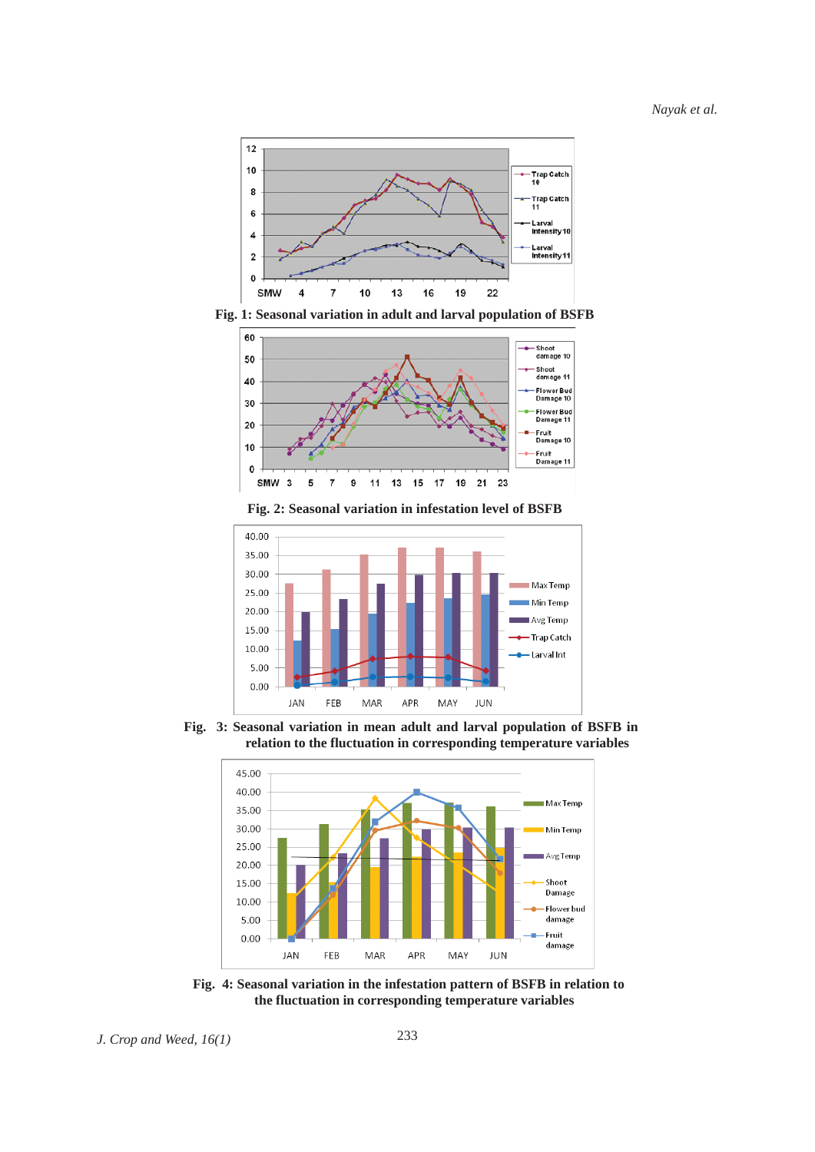

**Fig. 1: Seasonal variation in adult and larval population of BSFB**



**Fig. 2: Seasonal variation in infestation level of BSFB**



**Fig. 3: Seasonal variation in mean adult and larval population of BSFB in relation to the fluctuation in corresponding temperature variables**



**Fig. 4: Seasonal variation in the infestation pattern of BSFB in relation to the fluctuation in corresponding temperature variables**

*J. Crop and Weed, 16(1)* 233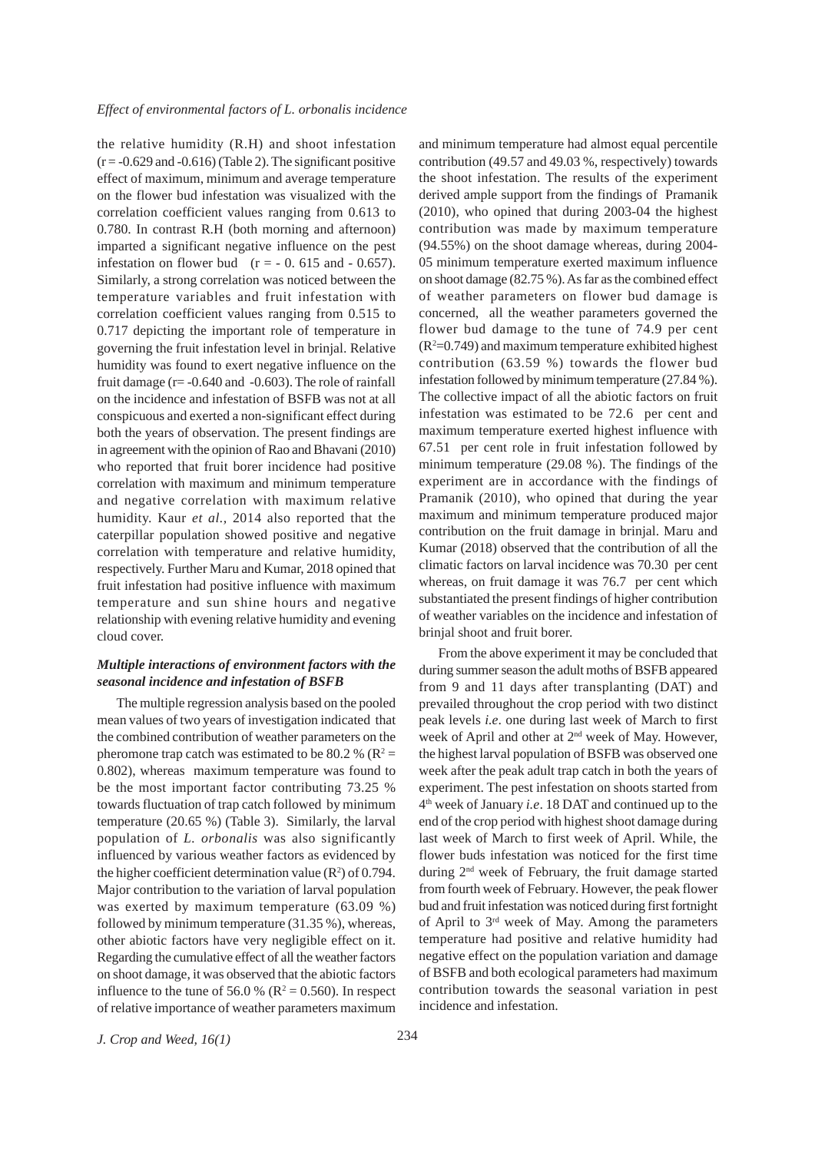the relative humidity (R.H) and shoot infestation  $(r = -0.629$  and  $-0.616$  (Table 2). The significant positive effect of maximum, minimum and average temperature on the flower bud infestation was visualized with the correlation coefficient values ranging from 0.613 to 0.780. In contrast R.H (both morning and afternoon) imparted a significant negative influence on the pest infestation on flower bud  $(r = -0.615$  and  $-0.657)$ . Similarly, a strong correlation was noticed between the temperature variables and fruit infestation with correlation coefficient values ranging from 0.515 to 0.717 depicting the important role of temperature in governing the fruit infestation level in brinjal. Relative humidity was found to exert negative influence on the fruit damage  $(r = -0.640$  and  $-0.603$ ). The role of rainfall on the incidence and infestation of BSFB was not at all conspicuous and exerted a non-significant effect during both the years of observation. The present findings are in agreement with the opinion of Rao and Bhavani (2010) who reported that fruit borer incidence had positive correlation with maximum and minimum temperature and negative correlation with maximum relative humidity. Kaur *et al.,* 2014 also reported that the caterpillar population showed positive and negative correlation with temperature and relative humidity, respectively. Further Maru and Kumar, 2018 opined that fruit infestation had positive influence with maximum temperature and sun shine hours and negative relationship with evening relative humidity and evening cloud cover.

# *Multiple interactions of environment factors with the seasonal incidence and infestation of BSFB*

The multiple regression analysis based on the pooled mean values of two years of investigation indicated that the combined contribution of weather parameters on the pheromone trap catch was estimated to be 80.2 % ( $\mathbb{R}^2$  = 0.802), whereas maximum temperature was found to be the most important factor contributing 73.25 % towards fluctuation of trap catch followed by minimum temperature (20.65 %) (Table 3). Similarly, the larval population of *L. orbonalis* was also significantly influenced by various weather factors as evidenced by the higher coefficient determination value  $(R^2)$  of 0.794. Major contribution to the variation of larval population was exerted by maximum temperature (63.09 %) followed by minimum temperature (31.35 %), whereas, other abiotic factors have very negligible effect on it. Regarding the cumulative effect of all the weather factors on shoot damage, it was observed that the abiotic factors influence to the tune of 56.0 % ( $\mathbb{R}^2 = 0.560$ ). In respect of relative importance of weather parameters maximum and minimum temperature had almost equal percentile contribution (49.57 and 49.03 %, respectively) towards the shoot infestation. The results of the experiment derived ample support from the findings of Pramanik (2010), who opined that during 2003-04 the highest contribution was made by maximum temperature (94.55%) on the shoot damage whereas, during 2004- 05 minimum temperature exerted maximum influence on shoot damage (82.75 %). As far as the combined effect of weather parameters on flower bud damage is concerned, all the weather parameters governed the flower bud damage to the tune of 74.9 per cent  $(R<sup>2</sup>=0.749)$  and maximum temperature exhibited highest contribution (63.59 %) towards the flower bud infestation followed by minimum temperature (27.84 %). The collective impact of all the abiotic factors on fruit infestation was estimated to be 72.6 per cent and maximum temperature exerted highest influence with 67.51 per cent role in fruit infestation followed by minimum temperature (29.08 %). The findings of the experiment are in accordance with the findings of Pramanik (2010), who opined that during the year maximum and minimum temperature produced major contribution on the fruit damage in brinjal. Maru and Kumar (2018) observed that the contribution of all the climatic factors on larval incidence was 70.30 per cent whereas, on fruit damage it was 76.7 per cent which substantiated the present findings of higher contribution of weather variables on the incidence and infestation of brinjal shoot and fruit borer.

From the above experiment it may be concluded that during summer season the adult moths of BSFB appeared from 9 and 11 days after transplanting (DAT) and prevailed throughout the crop period with two distinct peak levels *i.e*. one during last week of March to first week of April and other at 2nd week of May. However, the highest larval population of BSFB was observed one week after the peak adult trap catch in both the years of experiment. The pest infestation on shoots started from 4th week of January *i.e*. 18 DAT and continued up to the end of the crop period with highest shoot damage during last week of March to first week of April. While, the flower buds infestation was noticed for the first time during 2nd week of February, the fruit damage started from fourth week of February. However, the peak flower bud and fruit infestation was noticed during first fortnight of April to 3rd week of May. Among the parameters temperature had positive and relative humidity had negative effect on the population variation and damage of BSFB and both ecological parameters had maximum contribution towards the seasonal variation in pest incidence and infestation.